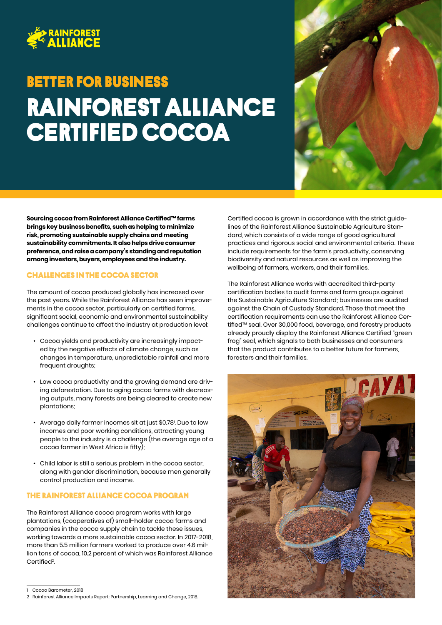

# Rainforest alliance certified cocoa Better FOR BUSINESS



**Sourcing cocoa from Rainforest Alliance Certified™ farms brings key business benefits, such as helping to minimize risk, promoting sustainable supply chains and meeting sustainability commitments. It also helps drive consumer preference, and raise a company's standing and reputation among investors, buyers, employees and the industry.** 

### Challenges in the cocoa sector

The amount of cocoa produced globally has increased over the past years. While the Rainforest Alliance has seen improvements in the cocoa sector, particularly on certified farms, significant social, economic and environmental sustainability challenges continue to affect the industry at production level:

- Cocoa yields and productivity are increasingly impacted by the negative effects of climate change, such as changes in temperature, unpredictable rainfall and more frequent droughts;
- Low cocoa productivity and the growing demand are driving deforestation. Due to aging cocoa farms with decreasing outputs, many forests are being cleared to create new plantations;
- $\bullet~$  Average daily farmer incomes sit at just \$0.78 $\mathrm l$ . Due to low incomes and poor working conditions, attracting young people to the industry is a challenge (the average age of a cocoa farmer in West Africa is fifty);
- Child labor is still a serious problem in the cocoa sector, along with gender discrimination, because men generally control production and income.

## The Rainforest Alliance cocoa program

The Rainforest Alliance cocoa program works with large plantations, (cooperatives of) small-holder cocoa farms and companies in the cocoa supply chain to tackle these issues, working towards a more sustainable cocoa sector. In 2017-2018, more than 5.5 million farmers worked to produce over 4.6 million tons of cocoa, 10.2 percent of which was Rainforest Alliance Certified<sup>2</sup>. .

Certified cocoa is grown in accordance with the strict guidelines of the Rainforest Alliance Sustainable Agriculture Standard, which consists of a wide range of good agricultural practices and rigorous social and environmental criteria. These include requirements for the farm's productivity, conserving biodiversity and natural resources as well as improving the wellbeing of farmers, workers, and their families.

The Rainforest Alliance works with accredited third-party certification bodies to audit farms and farm groups against the Sustainable Agriculture Standard; businesses are audited against the Chain of Custody Standard. Those that meet the certification requirements can use the Rainforest Alliance Certified™ seal. Over 30,000 food, beverage, and forestry products already proudly display the Rainforest Alliance Certified "green frog" seal, which signals to both businesses and consumers that the product contributes to a better future for farmers, foresters and their families.



<sup>1</sup> Cocoa Barometer, 2018

<sup>2</sup> Rainforest Alliance Impacts Report: Partnership, Learning and Change, 2018.